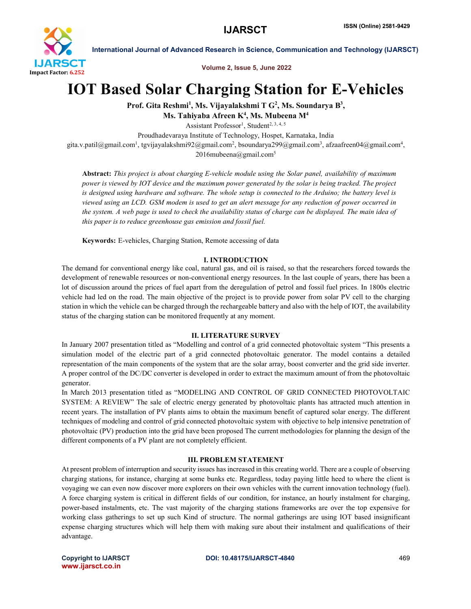

International Journal of Advanced Research in Science, Communication and Technology (IJARSCT)

Volume 2, Issue 5, June 2022

# IOT Based Solar Charging Station for E-Vehicles

Prof. Gita Reshmi<sup>1</sup>, Ms. Vijayalakshmi T G<sup>2</sup>, Ms. Soundarya B<sup>3</sup>,

Ms. Tahiyaba Afreen K<sup>4</sup>, Ms. Mubeena M<sup>4</sup>

Assistant Professor<sup>1</sup>, Student<sup>2, 3, 4, 5</sup>

Proudhadevaraya Institute of Technology, Hospet, Karnataka, India

gita.v.patil@gmail.com<sup>1</sup>, tgvijayalakshmi92@gmail.com<sup>2</sup>, bsoundarya299@gmail.com<sup>3</sup>, afzaafreen04@gmail.com<sup>4</sup>,  $2016$ mubeena@gmail.com<sup>5</sup>

Abstract: *This project is about charging E-vehicle module using the Solar panel, availability of maximum power is viewed by IOT device and the maximum power generated by the solar is being tracked. The project is designed using hardware and software. The whole setup is connected to the Arduino; the battery level is viewed using an LCD. GSM modem is used to get an alert message for any reduction of power occurred in the system. A web page is used to check the availability status of charge can be displayed. The main idea of this paper is to reduce greenhouse gas emission and fossil fuel.*

Keywords: E-vehicles, Charging Station, Remote accessing of data

# I. INTRODUCTION

The demand for conventional energy like coal, natural gas, and oil is raised, so that the researchers forced towards the development of renewable resources or non-conventional energy resources. In the last couple of years, there has been a lot of discussion around the prices of fuel apart from the deregulation of petrol and fossil fuel prices. In 1800s electric vehicle had led on the road. The main objective of the project is to provide power from solar PV cell to the charging station in which the vehicle can be charged through the rechargeable battery and also with the help of IOT, the availability status of the charging station can be monitored frequently at any moment.

# II. LITERATURE SURVEY

In January 2007 presentation titled as "Modelling and control of a grid connected photovoltaic system "This presents a simulation model of the electric part of a grid connected photovoltaic generator. The model contains a detailed representation of the main components of the system that are the solar array, boost converter and the grid side inverter. A proper control of the DC/DC converter is developed in order to extract the maximum amount of from the photovoltaic generator.

In March 2013 presentation titled as "MODELING AND CONTROL OF GRID CONNECTED PHOTOVOLTAIC SYSTEM: A REVIEW" The sale of electric energy generated by photovoltaic plants has attracted much attention in recent years. The installation of PV plants aims to obtain the maximum benefit of captured solar energy. The different techniques of modeling and control of grid connected photovoltaic system with objective to help intensive penetration of photovoltaic (PV) production into the grid have been proposed The current methodologies for planning the design of the different components of a PV plant are not completely efficient.

# III. PROBLEM STATEMENT

At present problem of interruption and security issues has increased in this creating world. There are a couple of observing charging stations, for instance, charging at some bunks etc. Regardless, today paying little heed to where the client is voyaging we can even now discover more explorers on their own vehicles with the current innovation technology (fuel). A force charging system is critical in different fields of our condition, for instance, an hourly instalment for charging, power-based instalments, etc. The vast majority of the charging stations frameworks are over the top expensive for working class gatherings to set up such Kind of structure. The normal gatherings are using IOT based insignificant expense charging structures which will help them with making sure about their instalment and qualifications of their advantage.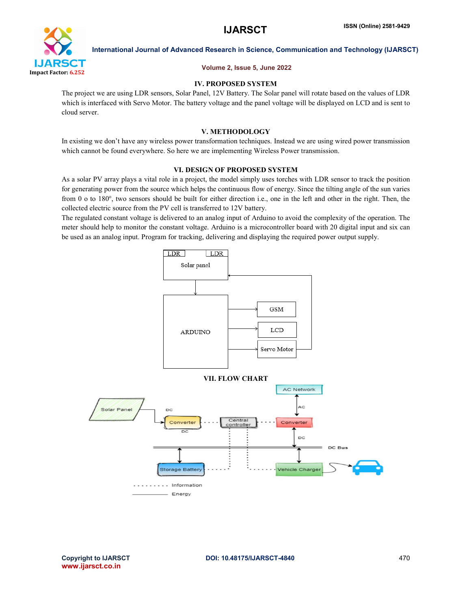

International Journal of Advanced Research in Science, Communication and Technology (IJARSCT)

#### Volume 2, Issue 5, June 2022

# IV. PROPOSED SYSTEM

The project we are using LDR sensors, Solar Panel, 12V Battery. The Solar panel will rotate based on the values of LDR which is interfaced with Servo Motor. The battery voltage and the panel voltage will be displayed on LCD and is sent to cloud server.

# V. METHODOLOGY

In existing we don't have any wireless power transformation techniques. Instead we are using wired power transmission which cannot be found everywhere. So here we are implementing Wireless Power transmission.

# VI. DESIGN OF PROPOSED SYSTEM

As a solar PV array plays a vital role in a project, the model simply uses torches with LDR sensor to track the position for generating power from the source which helps the continuous flow of energy. Since the tilting angle of the sun varies from 0 o to 180°, two sensors should be built for either direction i.e., one in the left and other in the right. Then, the collected electric source from the PV cell is transferred to 12V battery.

The regulated constant voltage is delivered to an analog input of Arduino to avoid the complexity of the operation. The meter should help to monitor the constant voltage. Arduino is a microcontroller board with 20 digital input and six can be used as an analog input. Program for tracking, delivering and displaying the required power output supply.